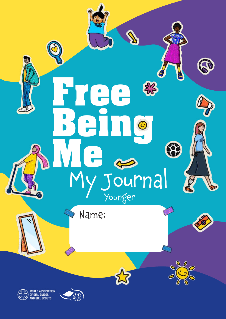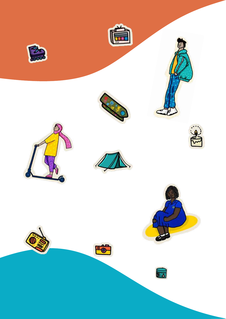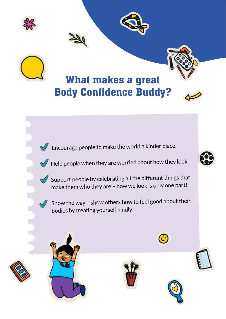







#### What makes a great Body Confidence Buddy?

 $\blacktriangleright$  Encourage people to make the world a kinder place.



 $\blacktriangleright$  Help people when they are worried about how they look.



 $\bigvee$  Support people by celebrating all the different things that make them who they are – how we look is only one part!



Show the way – show others how to feel good about their bodies by treating yourself kindly.











 $\mathbb{C}$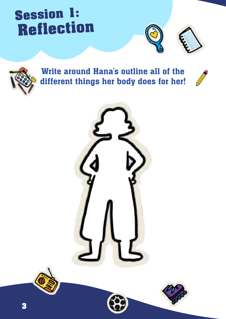# **Session 1: Reflection**







#### Write around Hana's outline all of the different things her body does for her!







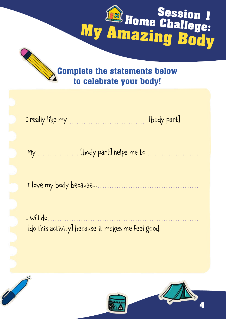

#### to celebrate your body!

|  | [body part] |
|--|-------------|
|  |             |

|  |  |  | My  [body part] helps me to |
|--|--|--|-----------------------------|
|--|--|--|-----------------------------|

I love my body because…

I will do [do this activity] because it makes me feel good.



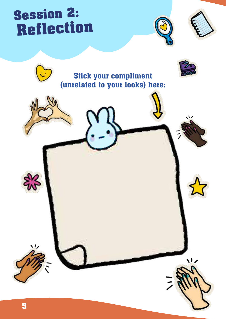# **Session 2: Reflection**





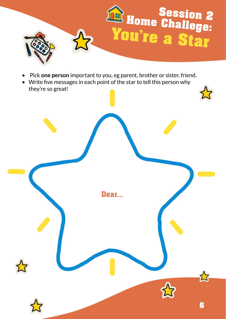

- Pick **one person** important to you, eg parent, brother or sister, friend.
- Write five messages in each point of the star to tell this person why they're so great!



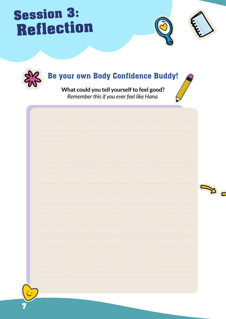### **Session 3: Reflection**





Be your own Body Confidence Buddy!

**What could you tell yourself to feel good?**  *Remember this if you ever feel like Hana.*

| . |  |
|---|--|
|   |  |
|   |  |
|   |  |
|   |  |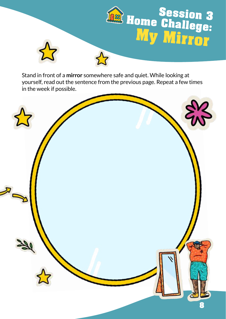

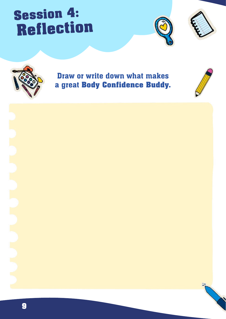# **Session 4: Reflection**







Draw or write down what makes a great **Body Confidence Buddy.**

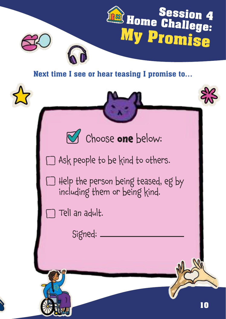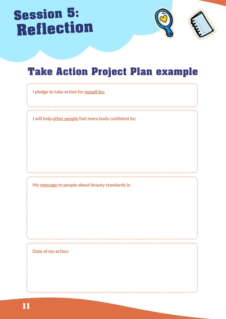## **Session 5: Reflection**





#### **Take Action Project Plan example**

|                    | I pledge to take action for myself by:                |  |
|--------------------|-------------------------------------------------------|--|
|                    |                                                       |  |
|                    | I will help other people feel more body confident by: |  |
|                    |                                                       |  |
|                    |                                                       |  |
|                    |                                                       |  |
|                    |                                                       |  |
|                    |                                                       |  |
|                    |                                                       |  |
|                    |                                                       |  |
|                    |                                                       |  |
|                    | My message to people about beauty standards is:       |  |
|                    |                                                       |  |
|                    |                                                       |  |
|                    |                                                       |  |
|                    |                                                       |  |
|                    |                                                       |  |
|                    |                                                       |  |
|                    |                                                       |  |
| Date of my action: |                                                       |  |
|                    |                                                       |  |
|                    |                                                       |  |
|                    |                                                       |  |
|                    |                                                       |  |
|                    |                                                       |  |
|                    |                                                       |  |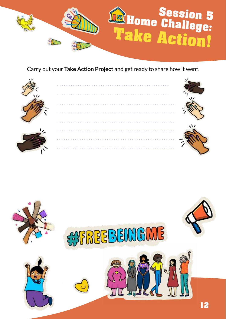

Carry out your **Take Action Project** and get ready to share how it went.